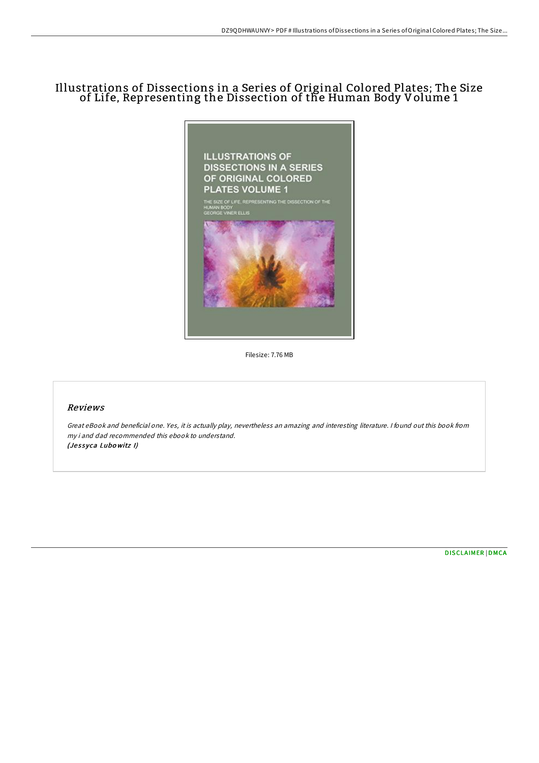## Illustrations of Dissections in a Series of Original Colored Plates; The Size of Life, Representing the Dissection of the Human Body Volume 1



Filesize: 7.76 MB

## Reviews

Great eBook and beneficial one. Yes, it is actually play, nevertheless an amazing and interesting literature. <sup>I</sup> found out this book from my i and dad recommended this ebook to understand. (Jessyca Lubowitz I)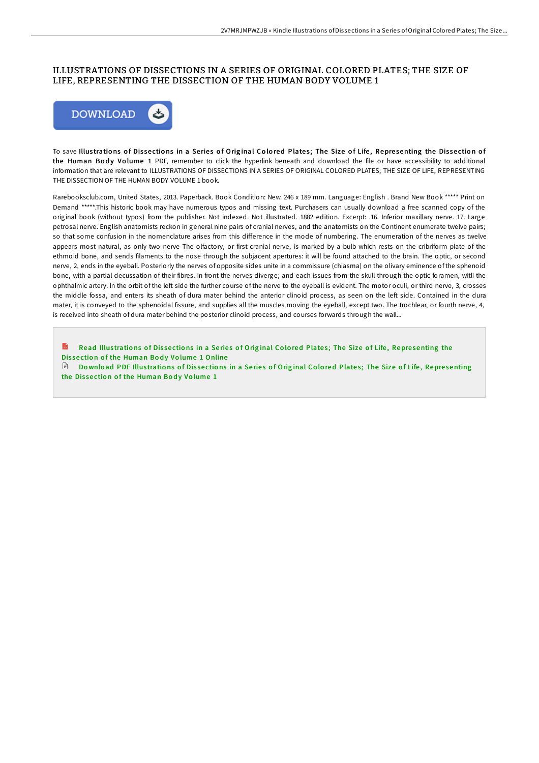## ILLUSTRATIONS OF DISSECTIONS IN A SERIES OF ORIGINAL COLORED PLATES; THE SIZE OF LIFE, REPRESENTING THE DISSECTION OF THE HUMAN BODY VOLUME 1



To save Illustrations of Dissections in a Series of Original Colored Plates; The Size of Life, Representing the Dissection of the Human Body Volume 1 PDF, remember to click the hyperlink beneath and download the file or have accessibility to additional information that are relevant to ILLUSTRATIONS OF DISSECTIONS IN A SERIES OF ORIGINAL COLORED PLATES; THE SIZE OF LIFE, REPRESENTING THE DISSECTION OF THE HUMAN BODY VOLUME 1 book.

Rarebooksclub.com, United States, 2013. Paperback. Book Condition: New. 246 x 189 mm. Language: English . Brand New Book \*\*\*\*\* Print on Demand \*\*\*\*\*.This historic book may have numerous typos and missing text. Purchasers can usually download a free scanned copy of the original book (without typos) from the publisher. Not indexed. Not illustrated. 1882 edition. Excerpt: .16. Inferior maxillary nerve. 17. Large petrosal nerve. English anatomists reckon in general nine pairs of cranial nerves, and the anatomists on the Continent enumerate twelve pairs: so that some confusion in the nomenclature arises from this difference in the mode of numbering. The enumeration of the nerves as twelve appears most natural, as only two nerve The olfactory, or first cranial nerve, is marked by a bulb which rests on the cribriform plate of the ethmoid bone, and sends filaments to the nose through the subjacent apertures: it will be found attached to the brain. The optic, or second nerve, 2, ends in the eyeball. Posteriorly the nerves of opposite sides unite in a commissure (chiasma) on the olivary eminence of the sphenoid bone, with a partial decussation of their fibres. In front the nerves diverge; and each issues from the skull through the optic foramen, witli the ophthalmic artery. In the orbit of the left side the further course of the nerve to the eyeball is evident. The motor oculi, or third nerve, 3, crosses the middle fossa, and enters its sheath of dura mater behind the anterior clinoid process, as seen on the left side. Contained in the dura mater, it is conveyed to the sphenoidal fissure, and supplies all the muscles moving the eyeball, except two. The trochlear, or fourth nerve, 4, is received into sheath of dura mater behind the posterior clinoid process, and courses forwards through the wall...

**D** Read Illustrations of Dissections in a Series of Original Colored Plates; The Size of Life, Representing the Dissection of the Human Body Volume 1 Online

Download PDF Illustrations of Dissections in a Series of Original Colored Plates; The Size of Life, Representing the Dissection of the Human Body Volume 1